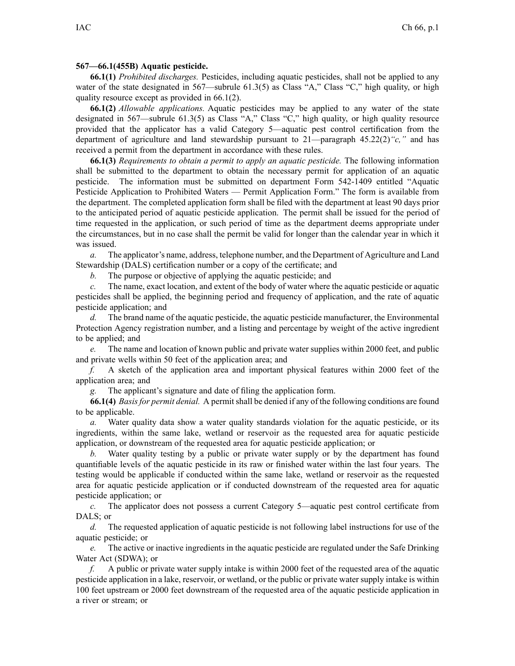## **567—66.1(455B) Aquatic pesticide.**

**66.1(1)** *Prohibited discharges.* Pesticides, including aquatic pesticides, shall not be applied to any water of the state designated in 567—subrule 61.3(5) as Class "A," Class "C," high quality, or high quality resource excep<sup>t</sup> as provided in 66.1(2).

**66.1(2)** *Allowable applications.* Aquatic pesticides may be applied to any water of the state designated in 567—subrule 61.3(5) as Class "A," Class "C," high quality, or high quality resource provided that the applicator has <sup>a</sup> valid Category 5—aquatic pes<sup>t</sup> control certification from the department of agriculture and land stewardship pursuan<sup>t</sup> to 21—paragraph 45.22(2)*"c,"* and has received <sup>a</sup> permit from the department in accordance with these rules.

**66.1(3)** *Requirements to obtain <sup>a</sup> permit to apply an aquatic pesticide.* The following information shall be submitted to the department to obtain the necessary permit for application of an aquatic pesticide. The information must be submitted on department Form 542-1409 entitled "Aquatic Pesticide Application to Prohibited Waters — Permit Application Form." The form is available from the department. The completed application form shall be filed with the department at least 90 days prior to the anticipated period of aquatic pesticide application. The permit shall be issued for the period of time requested in the application, or such period of time as the department deems appropriate under the circumstances, but in no case shall the permit be valid for longer than the calendar year in which it was issued.

*a.* The applicator's name, address, telephone number, and the Department of Agriculture and Land Stewardship (DALS) certification number or <sup>a</sup> copy of the certificate; and

*b.* The purpose or objective of applying the aquatic pesticide; and

*c.* The name, exact location, and extent of the body of water where the aquatic pesticide or aquatic pesticides shall be applied, the beginning period and frequency of application, and the rate of aquatic pesticide application; and

*d.* The brand name of the aquatic pesticide, the aquatic pesticide manufacturer, the Environmental Protection Agency registration number, and <sup>a</sup> listing and percentage by weight of the active ingredient to be applied; and

*e.* The name and location of known public and private water supplies within 2000 feet, and public and private wells within 50 feet of the application area; and

*f.* A sketch of the application area and important physical features within 2000 feet of the application area; and

*g.* The applicant's signature and date of filing the application form.

**66.1(4)** *Basisfor permit denial.* A permitshall be denied if any of the following conditions are found to be applicable.

*a.* Water quality data show <sup>a</sup> water quality standards violation for the aquatic pesticide, or its ingredients, within the same lake, wetland or reservoir as the requested area for aquatic pesticide application, or downstream of the requested area for aquatic pesticide application; or

*b.* Water quality testing by <sup>a</sup> public or private water supply or by the department has found quantifiable levels of the aquatic pesticide in its raw or finished water within the last four years. The testing would be applicable if conducted within the same lake, wetland or reservoir as the requested area for aquatic pesticide application or if conducted downstream of the requested area for aquatic pesticide application; or

*c.* The applicator does not possess <sup>a</sup> current Category 5—aquatic pes<sup>t</sup> control certificate from DALS; or

*d.* The requested application of aquatic pesticide is not following label instructions for use of the aquatic pesticide; or

*e.* The active or inactive ingredients in the aquatic pesticide are regulated under the Safe Drinking Water Act (SDWA); or

*f.* A public or private water supply intake is within 2000 feet of the requested area of the aquatic pesticide application in <sup>a</sup> lake, reservoir, or wetland, or the public or private water supply intake is within 100 feet upstream or 2000 feet downstream of the requested area of the aquatic pesticide application in <sup>a</sup> river or stream; or